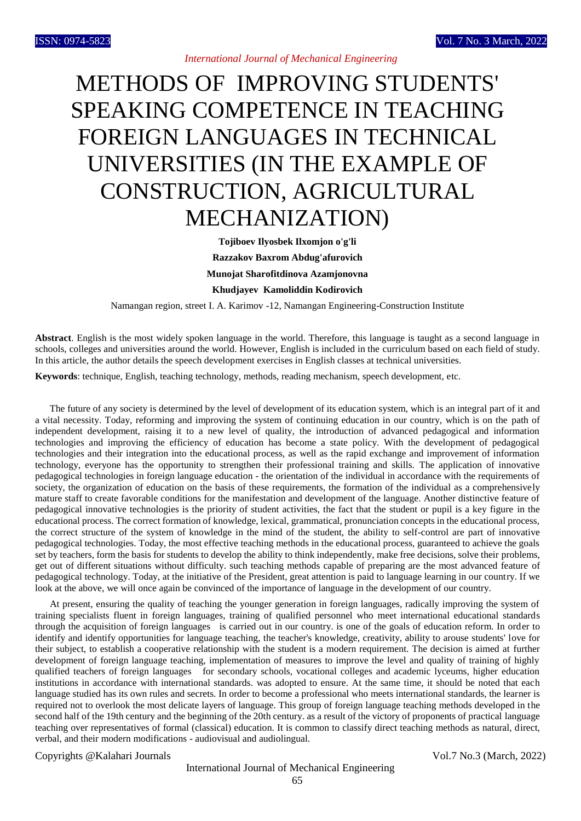### *International Journal of Mechanical Engineering*

# METHODS OF IMPROVING STUDENTS' SPEAKING COMPETENCE IN TEACHING FOREIGN LANGUAGES IN TECHNICAL UNIVERSITIES (IN THE EXAMPLE OF CONSTRUCTION, AGRICULTURAL MECHANIZATION)

**Tojiboev Ilyosbek Ilxomjon o'g'li Razzakov Baxrom Abdug'afurovich**

**Munojat Sharofitdinova Azamjonovna**

### **Khudjayev Kamoliddin Kodirovich**

Namangan region, street I. A. Karimov -12, Namangan Engineering-Construction Institute

**Abstract**. English is the most widely spoken language in the world. Therefore, this language is taught as a second language in schools, colleges and universities around the world. However, English is included in the curriculum based on each field of study. In this article, the author details the speech development exercises in English classes at technical universities.

**Keywords**: technique, English, teaching technology, methods, reading mechanism, speech development, etc.

 The future of any society is determined by the level of development of its education system, which is an integral part of it and a vital necessity. Today, reforming and improving the system of continuing education in our country, which is on the path of independent development, raising it to a new level of quality, the introduction of advanced pedagogical and information technologies and improving the efficiency of education has become a state policy. With the development of pedagogical technologies and their integration into the educational process, as well as the rapid exchange and improvement of information technology, everyone has the opportunity to strengthen their professional training and skills. The application of innovative pedagogical technologies in foreign language education - the orientation of the individual in accordance with the requirements of society, the organization of education on the basis of these requirements, the formation of the individual as a comprehensively mature staff to create favorable conditions for the manifestation and development of the language. Another distinctive feature of pedagogical innovative technologies is the priority of student activities, the fact that the student or pupil is a key figure in the educational process. The correct formation of knowledge, lexical, grammatical, pronunciation concepts in the educational process, the correct structure of the system of knowledge in the mind of the student, the ability to self-control are part of innovative pedagogical technologies. Today, the most effective teaching methods in the educational process, guaranteed to achieve the goals set by teachers, form the basis for students to develop the ability to think independently, make free decisions, solve their problems, get out of different situations without difficulty. such teaching methods capable of preparing are the most advanced feature of pedagogical technology. Today, at the initiative of the President, great attention is paid to language learning in our country. If we look at the above, we will once again be convinced of the importance of language in the development of our country.

 At present, ensuring the quality of teaching the younger generation in foreign languages, radically improving the system of training specialists fluent in foreign languages, training of qualified personnel who meet international educational standards through the acquisition of foreign languages is carried out in our country. is one of the goals of education reform. In order to identify and identify opportunities for language teaching, the teacher's knowledge, creativity, ability to arouse students' love for their subject, to establish a cooperative relationship with the student is a modern requirement. The decision is aimed at further development of foreign language teaching, implementation of measures to improve the level and quality of training of highly qualified teachers of foreign languages for secondary schools, vocational colleges and academic lyceums, higher education institutions in accordance with international standards. was adopted to ensure. At the same time, it should be noted that each language studied has its own rules and secrets. In order to become a professional who meets international standards, the learner is required not to overlook the most delicate layers of language. This group of foreign language teaching methods developed in the second half of the 19th century and the beginning of the 20th century. as a result of the victory of proponents of practical language teaching over representatives of formal (classical) education. It is common to classify direct teaching methods as natural, direct, verbal, and their modern modifications - audiovisual and audiolingual.

Copyrights @Kalahari Journals Vol.7 No.3 (March, 2022)

### International Journal of Mechanical Engineering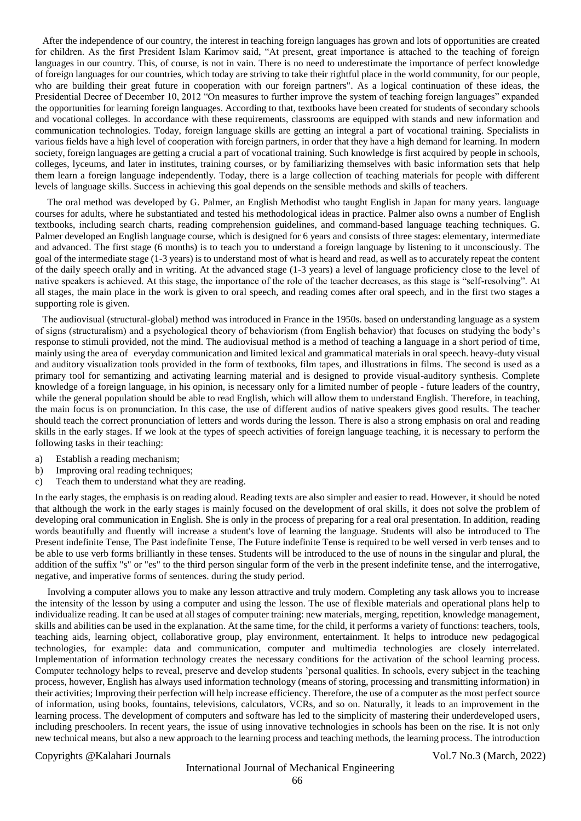After the independence of our country, the interest in teaching foreign languages has grown and lots of opportunities are created for children. As the first President Islam Karimov said, "At present, great importance is attached to the teaching of foreign languages in our country. This, of course, is not in vain. There is no need to underestimate the importance of perfect knowledge of foreign languages for our countries, which today are striving to take their rightful place in the world community, for our people, who are building their great future in cooperation with our foreign partners". As a logical continuation of these ideas, the Presidential Decree of December 10, 2012 "On measures to further improve the system of teaching foreign languages" expanded the opportunities for learning foreign languages. According to that, textbooks have been created for students of secondary schools and vocational colleges. In accordance with these requirements, classrooms are equipped with stands and new information and communication technologies. Today, foreign language skills are getting an integral a part of vocational training. Specialists in various fields have a high level of cooperation with foreign partners, in order that they have a high demand for learning. In modern society, foreign languages are getting a crucial a part of vocational training. Such knowledge is first acquired by people in schools, colleges, lyceums, and later in institutes, training courses, or by familiarizing themselves with basic information sets that help them learn a foreign language independently. Today, there is a large collection of teaching materials for people with different levels of language skills. Success in achieving this goal depends on the sensible methods and skills of teachers.

 The oral method was developed by G. Palmer, an English Methodist who taught English in Japan for many years. language courses for adults, where he substantiated and tested his methodological ideas in practice. Palmer also owns a number of English textbooks, including search charts, reading comprehension guidelines, and command-based language teaching techniques. G. Palmer developed an English language course, which is designed for 6 years and consists of three stages: elementary, intermediate and advanced. The first stage (6 months) is to teach you to understand a foreign language by listening to it unconsciously. The goal of the intermediate stage (1-3 years) is to understand most of what is heard and read, as well as to accurately repeat the content of the daily speech orally and in writing. At the advanced stage (1-3 years) a level of language proficiency close to the level of native speakers is achieved. At this stage, the importance of the role of the teacher decreases, as this stage is "self-resolving". At all stages, the main place in the work is given to oral speech, and reading comes after oral speech, and in the first two stages a supporting role is given.

 The audiovisual (structural-global) method was introduced in France in the 1950s. based on understanding language as a system of signs (structuralism) and a psychological theory of behaviorism (from English behavior) that focuses on studying the body's response to stimuli provided, not the mind. The audiovisual method is a method of teaching a language in a short period of time, mainly using the area of everyday communication and limited lexical and grammatical materials in oral speech. heavy-duty visual and auditory visualization tools provided in the form of textbooks, film tapes, and illustrations in films. The second is used as a primary tool for semantizing and activating learning material and is designed to provide visual-auditory synthesis. Complete knowledge of a foreign language, in his opinion, is necessary only for a limited number of people - future leaders of the country, while the general population should be able to read English, which will allow them to understand English. Therefore, in teaching, the main focus is on pronunciation. In this case, the use of different audios of native speakers gives good results. The teacher should teach the correct pronunciation of letters and words during the lesson. There is also a strong emphasis on oral and reading skills in the early stages. If we look at the types of speech activities of foreign language teaching, it is necessary to perform the following tasks in their teaching:

- a) Establish a reading mechanism;
- b) Improving oral reading techniques;
- c) Teach them to understand what they are reading.

In the early stages, the emphasis is on reading aloud. Reading texts are also simpler and easier to read. However, it should be noted that although the work in the early stages is mainly focused on the development of oral skills, it does not solve the problem of developing oral communication in English. She is only in the process of preparing for a real oral presentation. In addition, reading words beautifully and fluently will increase a student's love of learning the language. Students will also be introduced to The Present indefinite Tense, The Past indefinite Tense, The Future indefinite Tense is required to be well versed in verb tenses and to be able to use verb forms brilliantly in these tenses. Students will be introduced to the use of nouns in the singular and plural, the addition of the suffix "s" or "es" to the third person singular form of the verb in the present indefinite tense, and the interrogative, negative, and imperative forms of sentences. during the study period.

 Involving a computer allows you to make any lesson attractive and truly modern. Completing any task allows you to increase the intensity of the lesson by using a computer and using the lesson. The use of flexible materials and operational plans help to individualize reading. It can be used at all stages of computer training: new materials, merging, repetition, knowledge management, skills and abilities can be used in the explanation. At the same time, for the child, it performs a variety of functions: teachers, tools, teaching aids, learning object, collaborative group, play environment, entertainment. It helps to introduce new pedagogical technologies, for example: data and communication, computer and multimedia technologies are closely interrelated. Implementation of information technology creates the necessary conditions for the activation of the school learning process. Computer technology helps to reveal, preserve and develop students 'personal qualities. In schools, every subject in the teaching process, however, English has always used information technology (means of storing, processing and transmitting information) in their activities; Improving their perfection will help increase efficiency. Therefore, the use of a computer as the most perfect source of information, using books, fountains, televisions, calculators, VCRs, and so on. Naturally, it leads to an improvement in the learning process. The development of computers and software has led to the simplicity of mastering their underdeveloped users, including preschoolers. In recent years, the issue of using innovative technologies in schools has been on the rise. It is not only new technical means, but also a new approach to the learning process and teaching methods, the learning process. The introduction

### Copyrights @Kalahari Journals Vol.7 No.3 (March, 2022)

### International Journal of Mechanical Engineering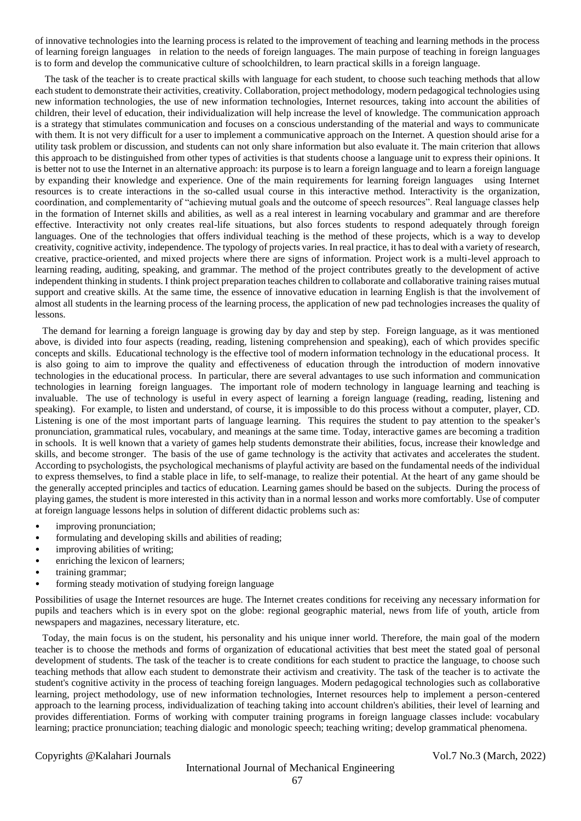of innovative technologies into the learning process is related to the improvement of teaching and learning methods in the process of learning foreign languages in relation to the needs of foreign languages. The main purpose of teaching in foreign languages is to form and develop the communicative culture of schoolchildren, to learn practical skills in a foreign language.

 The task of the teacher is to create practical skills with language for each student, to choose such teaching methods that allow each student to demonstrate their activities, creativity. Collaboration, project methodology, modern pedagogical technologies using new information technologies, the use of new information technologies, Internet resources, taking into account the abilities of children, their level of education, their individualization will help increase the level of knowledge. The communication approach is a strategy that stimulates communication and focuses on a conscious understanding of the material and ways to communicate with them. It is not very difficult for a user to implement a communicative approach on the Internet. A question should arise for a utility task problem or discussion, and students can not only share information but also evaluate it. The main criterion that allows this approach to be distinguished from other types of activities is that students choose a language unit to express their opinions. It is better not to use the Internet in an alternative approach: its purpose is to learn a foreign language and to learn a foreign language by expanding their knowledge and experience. One of the main requirements for learning foreign languages using Internet resources is to create interactions in the so-called usual course in this interactive method. Interactivity is the organization, coordination, and complementarity of "achieving mutual goals and the outcome of speech resources". Real language classes help in the formation of Internet skills and abilities, as well as a real interest in learning vocabulary and grammar and are therefore effective. Interactivity not only creates real-life situations, but also forces students to respond adequately through foreign languages. One of the technologies that offers individual teaching is the method of these projects, which is a way to develop creativity, cognitive activity, independence. The typology of projects varies. In real practice, it has to deal with a variety of research, creative, practice-oriented, and mixed projects where there are signs of information. Project work is a multi-level approach to learning reading, auditing, speaking, and grammar. The method of the project contributes greatly to the development of active independent thinking in students. I think project preparation teaches children to collaborate and collaborative training raises mutual support and creative skills. At the same time, the essence of innovative education in learning English is that the involvement of almost all students in the learning process of the learning process, the application of new pad technologies increases the quality of lessons.

 The demand for learning a foreign language is growing day by day and step by step. Foreign language, as it was mentioned above, is divided into four aspects (reading, reading, listening comprehension and speaking), each of which provides specific concepts and skills. Educational technology is the effective tool of modern information technology in the educational process. It is also going to aim to improve the quality and effectiveness of education through the introduction of modern innovative technologies in the educational process. In particular, there are several advantages to use such information and communication technologies in learning foreign languages. The important role of modern technology in language learning and teaching is invaluable. The use of technology is useful in every aspect of learning a foreign language (reading, reading, listening and speaking). For example, to listen and understand, of course, it is impossible to do this process without a computer, player, CD. Listening is one of the most important parts of language learning. This requires the student to pay attention to the speaker's pronunciation, grammatical rules, vocabulary, and meanings at the same time. Today, interactive games are becoming a tradition in schools. It is well known that a variety of games help students demonstrate their abilities, focus, increase their knowledge and skills, and become stronger. The basis of the use of game technology is the activity that activates and accelerates the student. According to psychologists, the psychological mechanisms of playful activity are based on the fundamental needs of the individual to express themselves, to find a stable place in life, to self-manage, to realize their potential. At the heart of any game should be the generally accepted principles and tactics of education. Learning games should be based on the subjects. During the process of playing games, the student is more interested in this activity than in a normal lesson and works more comfortably. Use of computer at foreign language lessons helps in solution of different didactic problems such as:

- improving pronunciation;
- formulating and developing skills and abilities of reading;
- improving abilities of writing;
- enriching the lexicon of learners;
- training grammar;
- forming steady motivation of studying foreign language

Possibilities of usage the Internet resources are huge. The Internet creates conditions for receiving any necessary information for pupils and teachers which is in every spot on the globe: regional geographic material, news from life of youth, article from newspapers and magazines, necessary literature, etc.

 Today, the main focus is on the student, his personality and his unique inner world. Therefore, the main goal of the modern teacher is to choose the methods and forms of organization of educational activities that best meet the stated goal of personal development of students. The task of the teacher is to create conditions for each student to practice the language, to choose such teaching methods that allow each student to demonstrate their activism and creativity. The task of the teacher is to activate the student's cognitive activity in the process of teaching foreign languages. Modern pedagogical technologies such as collaborative learning, project methodology, use of new information technologies, Internet resources help to implement a person-centered approach to the learning process, individualization of teaching taking into account children's abilities, their level of learning and provides differentiation. Forms of working with computer training programs in foreign language classes include: vocabulary learning; practice pronunciation; teaching dialogic and monologic speech; teaching writing; develop grammatical phenomena.

Copyrights @Kalahari Journals Vol.7 No.3 (March, 2022)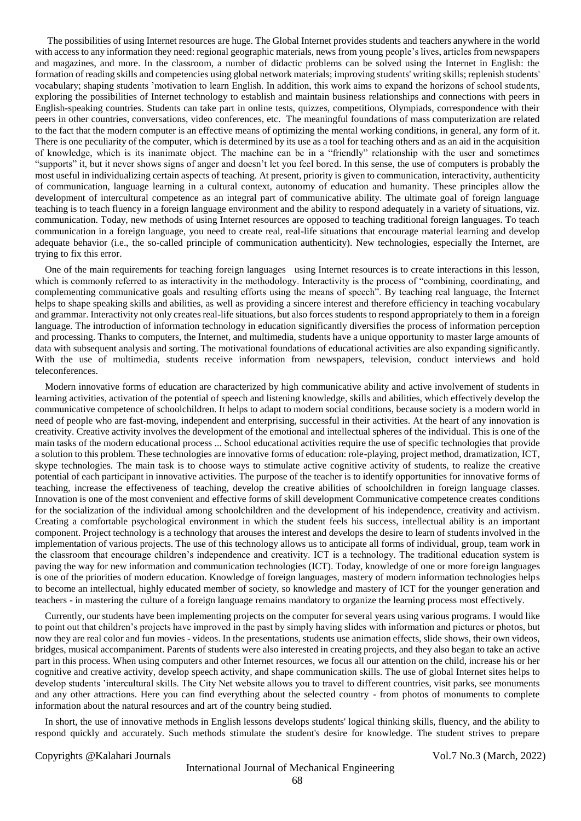The possibilities of using Internet resources are huge. The Global Internet provides students and teachers anywhere in the world with access to any information they need: regional geographic materials, news from young people's lives, articles from newspapers and magazines, and more. In the classroom, a number of didactic problems can be solved using the Internet in English: the formation of reading skills and competencies using global network materials; improving students' writing skills; replenish students' vocabulary; shaping students 'motivation to learn English. In addition, this work aims to expand the horizons of school students, exploring the possibilities of Internet technology to establish and maintain business relationships and connections with peers in English-speaking countries. Students can take part in online tests, quizzes, competitions, Olympiads, correspondence with their peers in other countries, conversations, video conferences, etc. The meaningful foundations of mass computerization are related to the fact that the modern computer is an effective means of optimizing the mental working conditions, in general, any form of it. There is one peculiarity of the computer, which is determined by its use as a tool for teaching others and as an aid in the acquisition of knowledge, which is its inanimate object. The machine can be in a "friendly" relationship with the user and sometimes "supports" it, but it never shows signs of anger and doesn't let you feel bored. In this sense, the use of computers is probably the most useful in individualizing certain aspects of teaching. At present, priority is given to communication, interactivity, authenticity of communication, language learning in a cultural context, autonomy of education and humanity. These principles allow the development of intercultural competence as an integral part of communicative ability. The ultimate goal of foreign language teaching is to teach fluency in a foreign language environment and the ability to respond adequately in a variety of situations, viz. communication. Today, new methods of using Internet resources are opposed to teaching traditional foreign languages. To teach communication in a foreign language, you need to create real, real-life situations that encourage material learning and develop adequate behavior (i.e., the so-called principle of communication authenticity). New technologies, especially the Internet, are trying to fix this error.

 One of the main requirements for teaching foreign languages using Internet resources is to create interactions in this lesson, which is commonly referred to as interactivity in the methodology. Interactivity is the process of "combining, coordinating, and complementing communicative goals and resulting efforts using the means of speech". By teaching real language, the Internet helps to shape speaking skills and abilities, as well as providing a sincere interest and therefore efficiency in teaching vocabulary and grammar. Interactivity not only creates real-life situations, but also forces students to respond appropriately to them in a foreign language. The introduction of information technology in education significantly diversifies the process of information perception and processing. Thanks to computers, the Internet, and multimedia, students have a unique opportunity to master large amounts of data with subsequent analysis and sorting. The motivational foundations of educational activities are also expanding significantly. With the use of multimedia, students receive information from newspapers, television, conduct interviews and hold teleconferences.

 Modern innovative forms of education are characterized by high communicative ability and active involvement of students in learning activities, activation of the potential of speech and listening knowledge, skills and abilities, which effectively develop the communicative competence of schoolchildren. It helps to adapt to modern social conditions, because society is a modern world in need of people who are fast-moving, independent and enterprising, successful in their activities. At the heart of any innovation is creativity. Creative activity involves the development of the emotional and intellectual spheres of the individual. This is one of the main tasks of the modern educational process ... School educational activities require the use of specific technologies that provide a solution to this problem. These technologies are innovative forms of education: role-playing, project method, dramatization, ICT, skype technologies. The main task is to choose ways to stimulate active cognitive activity of students, to realize the creative potential of each participant in innovative activities. The purpose of the teacher is to identify opportunities for innovative forms of teaching, increase the effectiveness of teaching, develop the creative abilities of schoolchildren in foreign language classes. Innovation is one of the most convenient and effective forms of skill development Communicative competence creates conditions for the socialization of the individual among schoolchildren and the development of his independence, creativity and activism. Creating a comfortable psychological environment in which the student feels his success, intellectual ability is an important component. Project technology is a technology that arouses the interest and develops the desire to learn of students involved in the implementation of various projects. The use of this technology allows us to anticipate all forms of individual, group, team work in the classroom that encourage children's independence and creativity. ICT is a technology. The traditional education system is paving the way for new information and communication technologies (ICT). Today, knowledge of one or more foreign languages is one of the priorities of modern education. Knowledge of foreign languages, mastery of modern information technologies helps to become an intellectual, highly educated member of society, so knowledge and mastery of ICT for the younger generation and teachers - in mastering the culture of a foreign language remains mandatory to organize the learning process most effectively.

 Currently, our students have been implementing projects on the computer for several years using various programs. I would like to point out that children's projects have improved in the past by simply having slides with information and pictures or photos, but now they are real color and fun movies - videos. In the presentations, students use animation effects, slide shows, their own videos, bridges, musical accompaniment. Parents of students were also interested in creating projects, and they also began to take an active part in this process. When using computers and other Internet resources, we focus all our attention on the child, increase his or her cognitive and creative activity, develop speech activity, and shape communication skills. The use of global Internet sites helps to develop students 'intercultural skills. The City Net website allows you to travel to different countries, visit parks, see monuments and any other attractions. Here you can find everything about the selected country - from photos of monuments to complete information about the natural resources and art of the country being studied.

 In short, the use of innovative methods in English lessons develops students' logical thinking skills, fluency, and the ability to respond quickly and accurately. Such methods stimulate the student's desire for knowledge. The student strives to prepare

### Copyrights @Kalahari Journals Vol.7 No.3 (March, 2022)

## International Journal of Mechanical Engineering